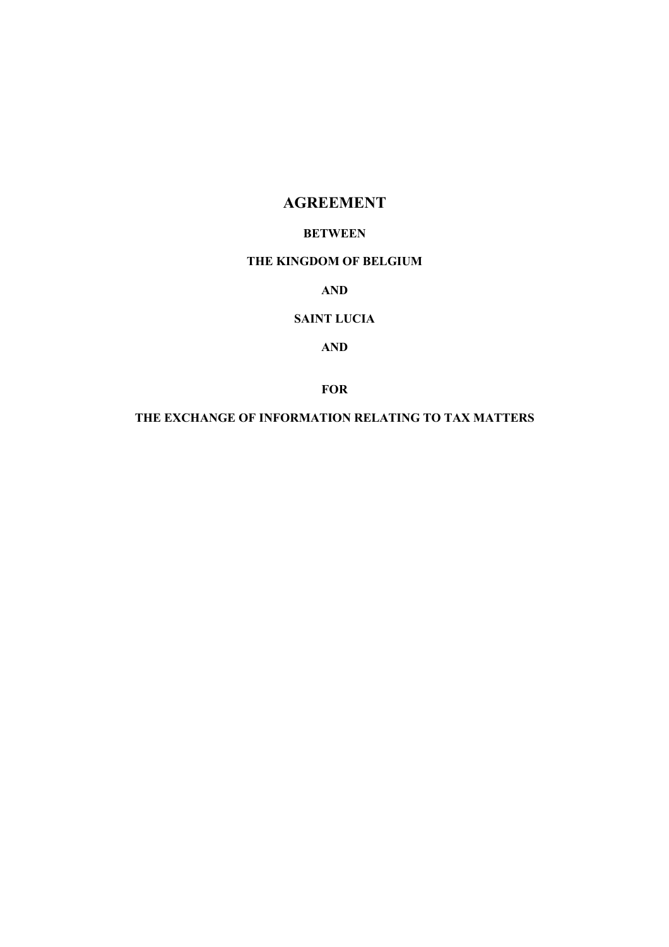## AGREEMENT

## BETWEEN

## THE KINGDOM OF BELGIUM

## AND

## SAINT LUCIA

## AND

## FOR

## THE EXCHANGE OF INFORMATION RELATING TO TAX MATTERS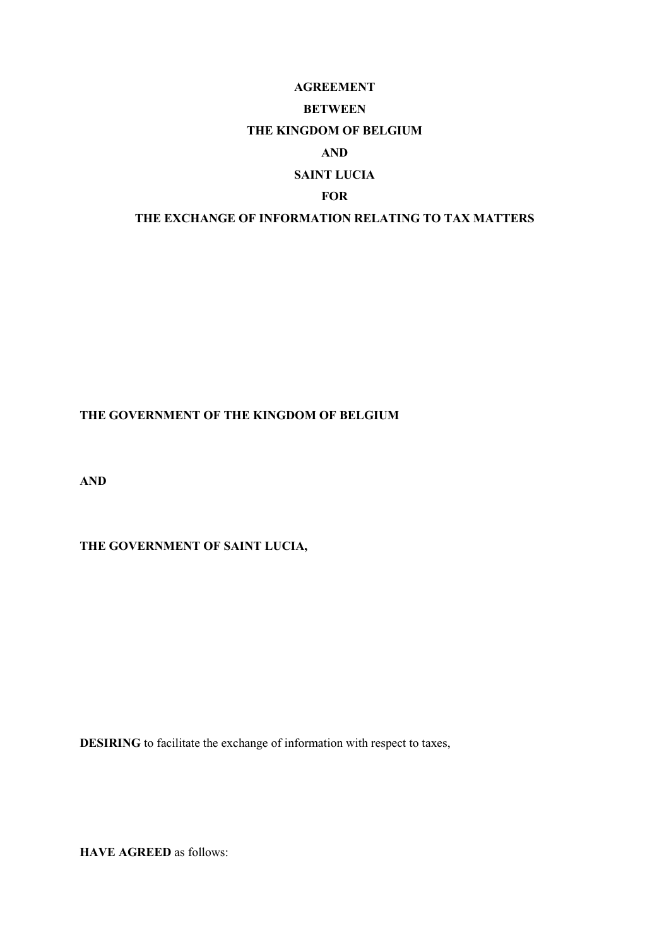# AGREEMENT **BETWEEN** THE KINGDOM OF BELGIUM AND SAINT LUCIA **FOR** THE EXCHANGE OF INFORMATION RELATING TO TAX MATTERS

THE GOVERNMENT OF THE KINGDOM OF BELGIUM

AND

THE GOVERNMENT OF SAINT LUCIA,

DESIRING to facilitate the exchange of information with respect to taxes,

HAVE AGREED as follows: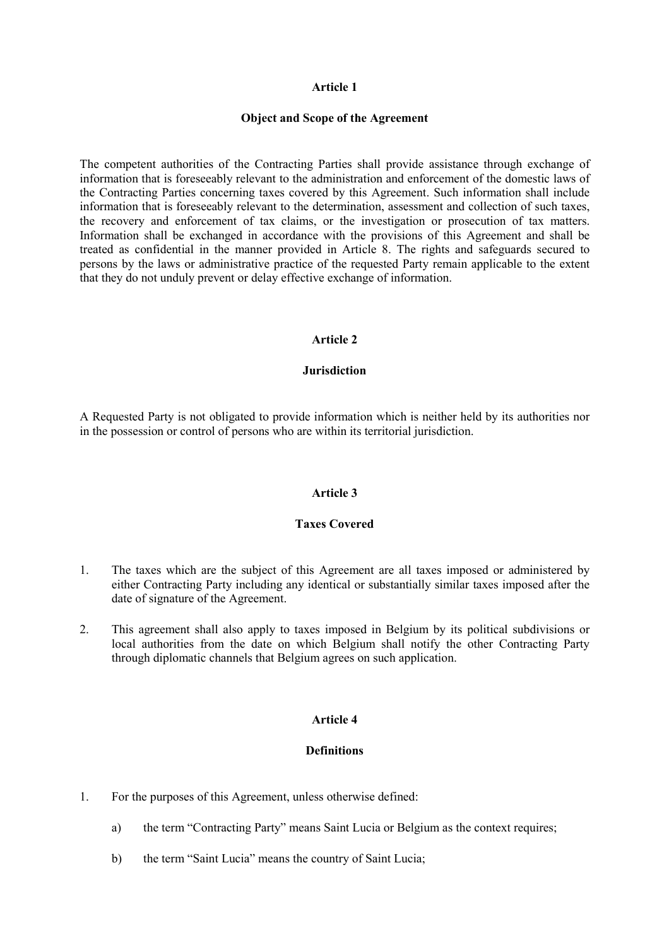#### Object and Scope of the Agreement

The competent authorities of the Contracting Parties shall provide assistance through exchange of information that is foreseeably relevant to the administration and enforcement of the domestic laws of the Contracting Parties concerning taxes covered by this Agreement. Such information shall include information that is foreseeably relevant to the determination, assessment and collection of such taxes, the recovery and enforcement of tax claims, or the investigation or prosecution of tax matters. Information shall be exchanged in accordance with the provisions of this Agreement and shall be treated as confidential in the manner provided in Article 8. The rights and safeguards secured to persons by the laws or administrative practice of the requested Party remain applicable to the extent that they do not unduly prevent or delay effective exchange of information.

#### Article 2

#### **Jurisdiction**

A Requested Party is not obligated to provide information which is neither held by its authorities nor in the possession or control of persons who are within its territorial jurisdiction.

#### Article 3

#### Taxes Covered

- 1. The taxes which are the subject of this Agreement are all taxes imposed or administered by either Contracting Party including any identical or substantially similar taxes imposed after the date of signature of the Agreement.
- 2. This agreement shall also apply to taxes imposed in Belgium by its political subdivisions or local authorities from the date on which Belgium shall notify the other Contracting Party through diplomatic channels that Belgium agrees on such application.

#### Article 4

#### **Definitions**

- 1. For the purposes of this Agreement, unless otherwise defined:
	- a) the term "Contracting Party" means Saint Lucia or Belgium as the context requires;
	- b) the term "Saint Lucia" means the country of Saint Lucia;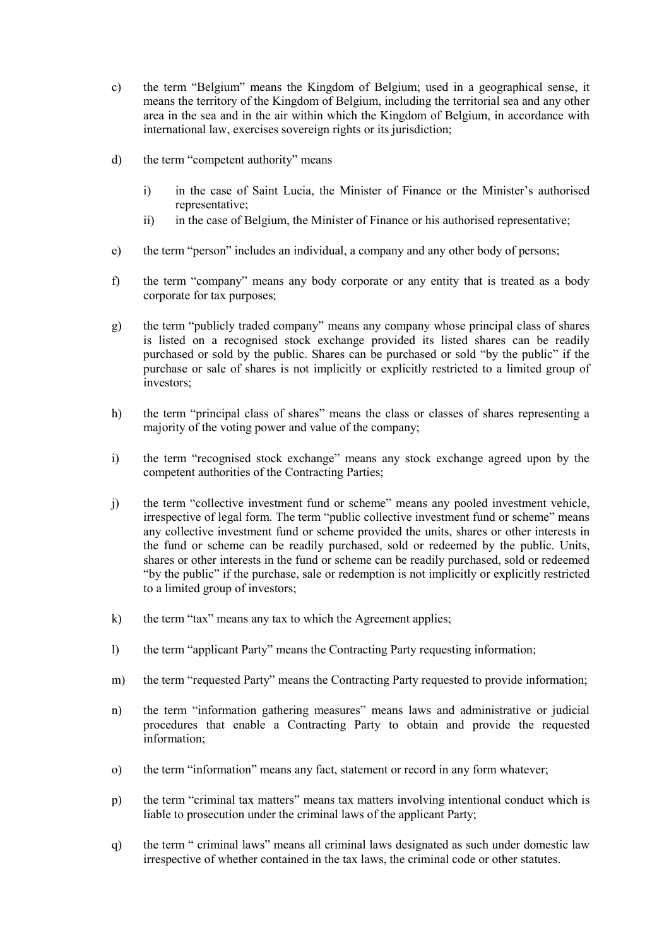- c) the term "Belgium" means the Kingdom of Belgium; used in a geographical sense, it means the territory of the Kingdom of Belgium, including the territorial sea and any other area in the sea and in the air within which the Kingdom of Belgium, in accordance with international law, exercises sovereign rights or its jurisdiction;
- d) the term "competent authority" means
	- i) in the case of Saint Lucia, the Minister of Finance or the Minister's authorised representative;
	- ii) in the case of Belgium, the Minister of Finance or his authorised representative;
- e) the term "person" includes an individual, a company and any other body of persons;
- f) the term "company" means any body corporate or any entity that is treated as a body corporate for tax purposes;
- g) the term "publicly traded company" means any company whose principal class of shares is listed on a recognised stock exchange provided its listed shares can be readily purchased or sold by the public. Shares can be purchased or sold "by the public" if the purchase or sale of shares is not implicitly or explicitly restricted to a limited group of investors;
- h) the term "principal class of shares" means the class or classes of shares representing a majority of the voting power and value of the company;
- i) the term "recognised stock exchange" means any stock exchange agreed upon by the competent authorities of the Contracting Parties;
- j) the term "collective investment fund or scheme" means any pooled investment vehicle, irrespective of legal form. The term "public collective investment fund or scheme" means any collective investment fund or scheme provided the units, shares or other interests in the fund or scheme can be readily purchased, sold or redeemed by the public. Units, shares or other interests in the fund or scheme can be readily purchased, sold or redeemed "by the public" if the purchase, sale or redemption is not implicitly or explicitly restricted to a limited group of investors;
- k) the term "tax" means any tax to which the Agreement applies;
- l) the term "applicant Party" means the Contracting Party requesting information;
- m) the term "requested Party" means the Contracting Party requested to provide information;
- n) the term "information gathering measures" means laws and administrative or judicial procedures that enable a Contracting Party to obtain and provide the requested information;
- o) the term "information" means any fact, statement or record in any form whatever;
- p) the term "criminal tax matters" means tax matters involving intentional conduct which is liable to prosecution under the criminal laws of the applicant Party;
- q) the term " criminal laws" means all criminal laws designated as such under domestic law irrespective of whether contained in the tax laws, the criminal code or other statutes.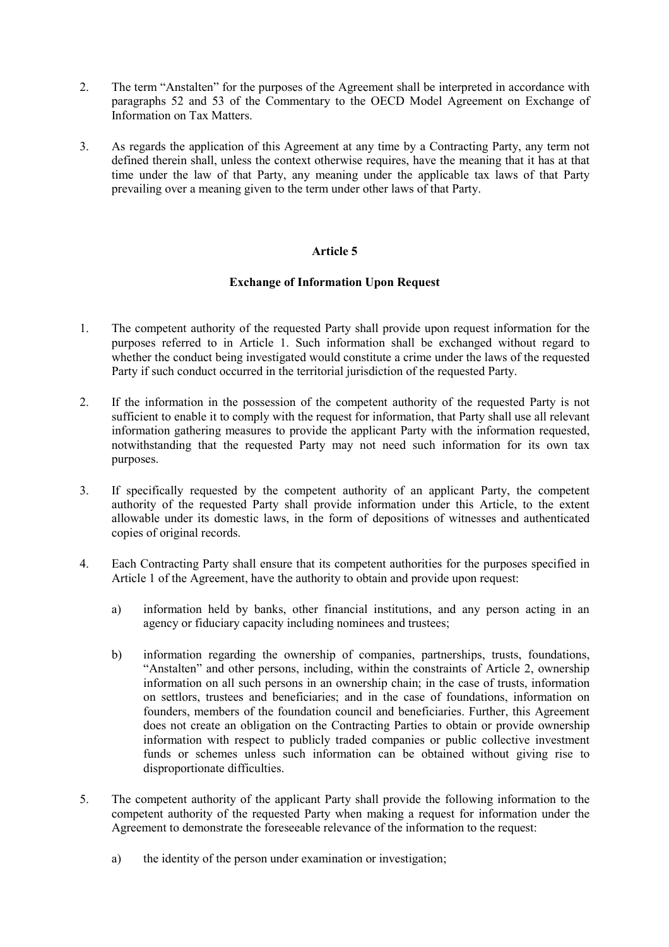- 2. The term "Anstalten" for the purposes of the Agreement shall be interpreted in accordance with paragraphs 52 and 53 of the Commentary to the OECD Model Agreement on Exchange of Information on Tax Matters.
- 3. As regards the application of this Agreement at any time by a Contracting Party, any term not defined therein shall, unless the context otherwise requires, have the meaning that it has at that time under the law of that Party, any meaning under the applicable tax laws of that Party prevailing over a meaning given to the term under other laws of that Party.

#### Exchange of Information Upon Request

- 1. The competent authority of the requested Party shall provide upon request information for the purposes referred to in Article 1. Such information shall be exchanged without regard to whether the conduct being investigated would constitute a crime under the laws of the requested Party if such conduct occurred in the territorial jurisdiction of the requested Party.
- 2. If the information in the possession of the competent authority of the requested Party is not sufficient to enable it to comply with the request for information, that Party shall use all relevant information gathering measures to provide the applicant Party with the information requested, notwithstanding that the requested Party may not need such information for its own tax purposes.
- 3. If specifically requested by the competent authority of an applicant Party, the competent authority of the requested Party shall provide information under this Article, to the extent allowable under its domestic laws, in the form of depositions of witnesses and authenticated copies of original records.
- 4. Each Contracting Party shall ensure that its competent authorities for the purposes specified in Article 1 of the Agreement, have the authority to obtain and provide upon request:
	- a) information held by banks, other financial institutions, and any person acting in an agency or fiduciary capacity including nominees and trustees;
	- b) information regarding the ownership of companies, partnerships, trusts, foundations, "Anstalten" and other persons, including, within the constraints of Article 2, ownership information on all such persons in an ownership chain; in the case of trusts, information on settlors, trustees and beneficiaries; and in the case of foundations, information on founders, members of the foundation council and beneficiaries. Further, this Agreement does not create an obligation on the Contracting Parties to obtain or provide ownership information with respect to publicly traded companies or public collective investment funds or schemes unless such information can be obtained without giving rise to disproportionate difficulties.
- 5. The competent authority of the applicant Party shall provide the following information to the competent authority of the requested Party when making a request for information under the Agreement to demonstrate the foreseeable relevance of the information to the request:
	- a) the identity of the person under examination or investigation;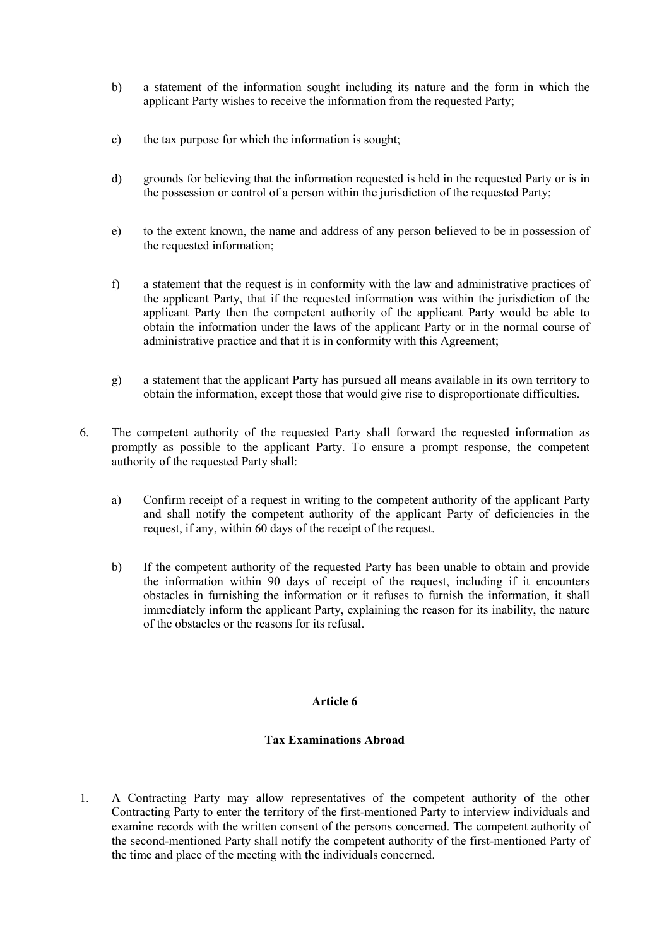- b) a statement of the information sought including its nature and the form in which the applicant Party wishes to receive the information from the requested Party;
- c) the tax purpose for which the information is sought;
- d) grounds for believing that the information requested is held in the requested Party or is in the possession or control of a person within the jurisdiction of the requested Party;
- e) to the extent known, the name and address of any person believed to be in possession of the requested information;
- f) a statement that the request is in conformity with the law and administrative practices of the applicant Party, that if the requested information was within the jurisdiction of the applicant Party then the competent authority of the applicant Party would be able to obtain the information under the laws of the applicant Party or in the normal course of administrative practice and that it is in conformity with this Agreement;
- g) a statement that the applicant Party has pursued all means available in its own territory to obtain the information, except those that would give rise to disproportionate difficulties.
- 6. The competent authority of the requested Party shall forward the requested information as promptly as possible to the applicant Party. To ensure a prompt response, the competent authority of the requested Party shall:
	- a) Confirm receipt of a request in writing to the competent authority of the applicant Party and shall notify the competent authority of the applicant Party of deficiencies in the request, if any, within 60 days of the receipt of the request.
	- b) If the competent authority of the requested Party has been unable to obtain and provide the information within 90 days of receipt of the request, including if it encounters obstacles in furnishing the information or it refuses to furnish the information, it shall immediately inform the applicant Party, explaining the reason for its inability, the nature of the obstacles or the reasons for its refusal.

#### Tax Examinations Abroad

1. A Contracting Party may allow representatives of the competent authority of the other Contracting Party to enter the territory of the first-mentioned Party to interview individuals and examine records with the written consent of the persons concerned. The competent authority of the second-mentioned Party shall notify the competent authority of the first-mentioned Party of the time and place of the meeting with the individuals concerned.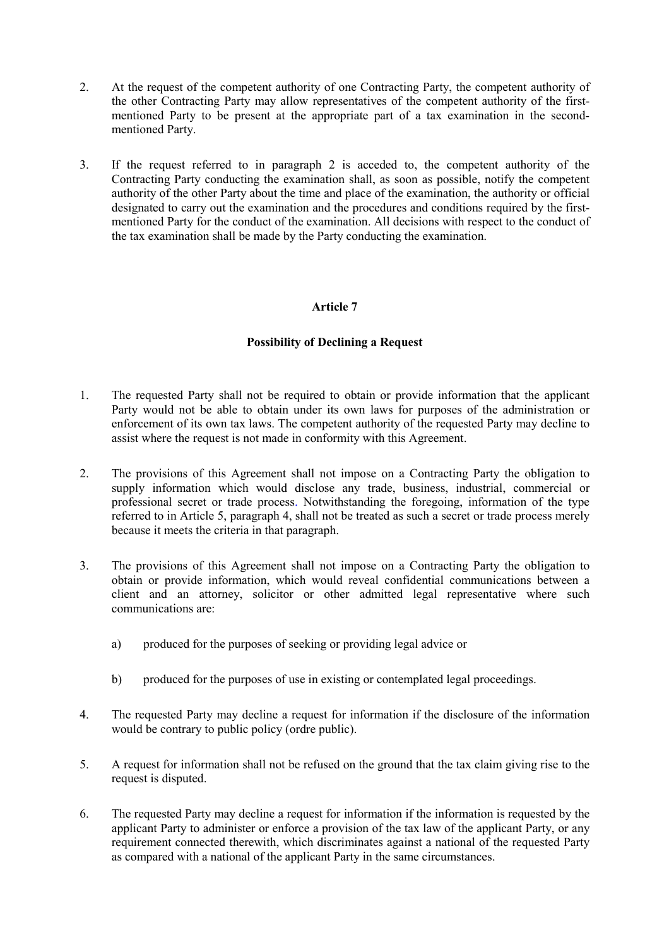- 2. At the request of the competent authority of one Contracting Party, the competent authority of the other Contracting Party may allow representatives of the competent authority of the firstmentioned Party to be present at the appropriate part of a tax examination in the secondmentioned Party.
- 3. If the request referred to in paragraph 2 is acceded to, the competent authority of the Contracting Party conducting the examination shall, as soon as possible, notify the competent authority of the other Party about the time and place of the examination, the authority or official designated to carry out the examination and the procedures and conditions required by the firstmentioned Party for the conduct of the examination. All decisions with respect to the conduct of the tax examination shall be made by the Party conducting the examination.

#### Possibility of Declining a Request

- 1. The requested Party shall not be required to obtain or provide information that the applicant Party would not be able to obtain under its own laws for purposes of the administration or enforcement of its own tax laws. The competent authority of the requested Party may decline to assist where the request is not made in conformity with this Agreement.
- 2. The provisions of this Agreement shall not impose on a Contracting Party the obligation to supply information which would disclose any trade, business, industrial, commercial or professional secret or trade process. Notwithstanding the foregoing, information of the type referred to in Article 5, paragraph 4, shall not be treated as such a secret or trade process merely because it meets the criteria in that paragraph.
- 3. The provisions of this Agreement shall not impose on a Contracting Party the obligation to obtain or provide information, which would reveal confidential communications between a client and an attorney, solicitor or other admitted legal representative where such communications are:
	- a) produced for the purposes of seeking or providing legal advice or
	- b) produced for the purposes of use in existing or contemplated legal proceedings.
- 4. The requested Party may decline a request for information if the disclosure of the information would be contrary to public policy (ordre public).
- 5. A request for information shall not be refused on the ground that the tax claim giving rise to the request is disputed.
- 6. The requested Party may decline a request for information if the information is requested by the applicant Party to administer or enforce a provision of the tax law of the applicant Party, or any requirement connected therewith, which discriminates against a national of the requested Party as compared with a national of the applicant Party in the same circumstances.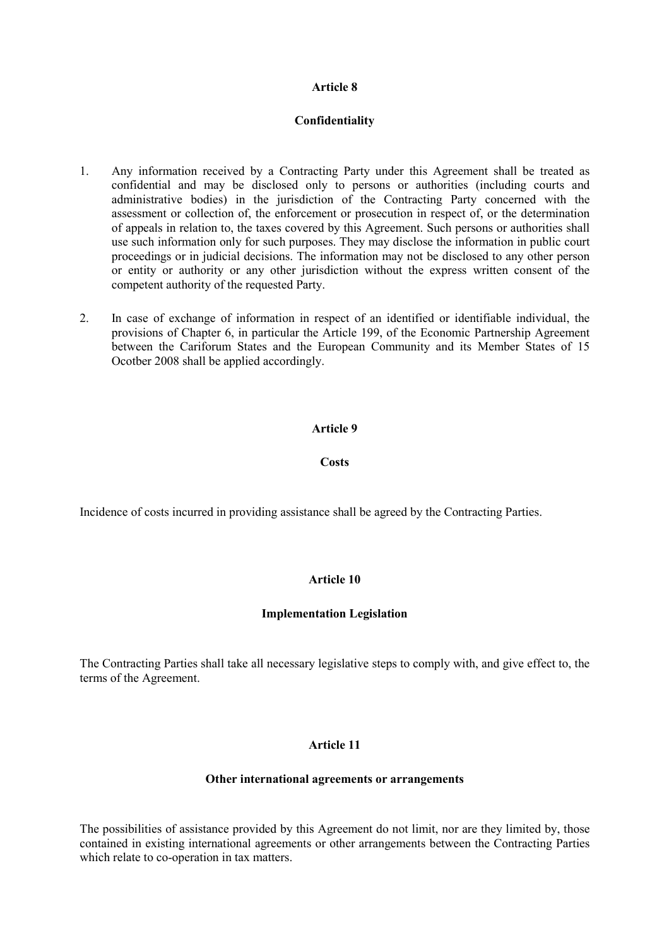#### **Confidentiality**

- 1. Any information received by a Contracting Party under this Agreement shall be treated as confidential and may be disclosed only to persons or authorities (including courts and administrative bodies) in the jurisdiction of the Contracting Party concerned with the assessment or collection of, the enforcement or prosecution in respect of, or the determination of appeals in relation to, the taxes covered by this Agreement. Such persons or authorities shall use such information only for such purposes. They may disclose the information in public court proceedings or in judicial decisions. The information may not be disclosed to any other person or entity or authority or any other jurisdiction without the express written consent of the competent authority of the requested Party.
- 2. In case of exchange of information in respect of an identified or identifiable individual, the provisions of Chapter 6, in particular the Article 199, of the Economic Partnership Agreement between the Cariforum States and the European Community and its Member States of 15 Ocotber 2008 shall be applied accordingly.

#### Article 9

#### **Costs**

Incidence of costs incurred in providing assistance shall be agreed by the Contracting Parties.

#### Article 10

#### Implementation Legislation

The Contracting Parties shall take all necessary legislative steps to comply with, and give effect to, the terms of the Agreement.

#### Article 11

#### Other international agreements or arrangements

The possibilities of assistance provided by this Agreement do not limit, nor are they limited by, those contained in existing international agreements or other arrangements between the Contracting Parties which relate to co-operation in tax matters.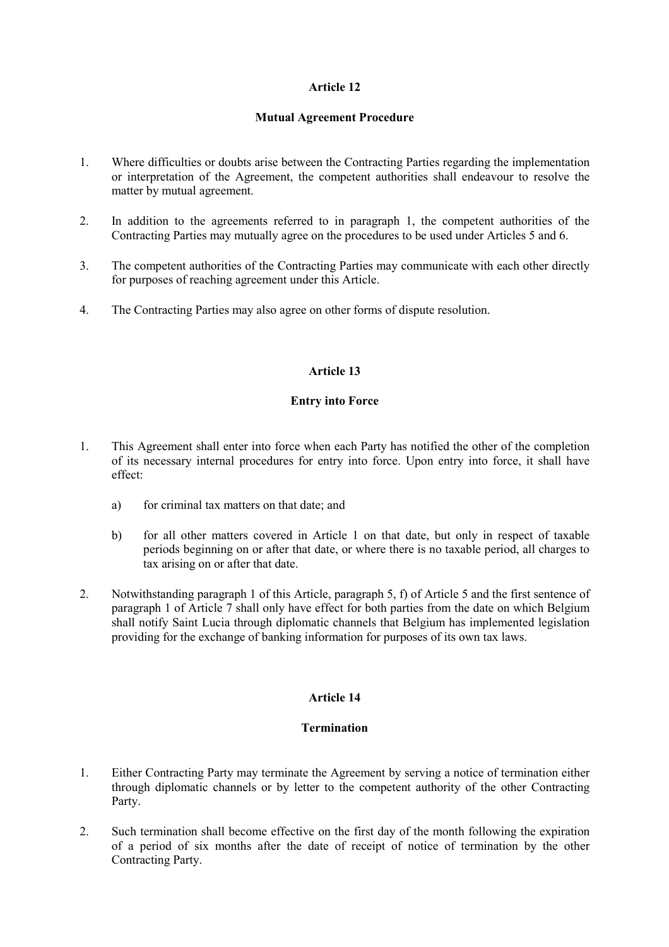#### Mutual Agreement Procedure

- 1. Where difficulties or doubts arise between the Contracting Parties regarding the implementation or interpretation of the Agreement, the competent authorities shall endeavour to resolve the matter by mutual agreement.
- 2. In addition to the agreements referred to in paragraph 1, the competent authorities of the Contracting Parties may mutually agree on the procedures to be used under Articles 5 and 6.
- 3. The competent authorities of the Contracting Parties may communicate with each other directly for purposes of reaching agreement under this Article.
- 4. The Contracting Parties may also agree on other forms of dispute resolution.

## Article 13

## Entry into Force

- 1. This Agreement shall enter into force when each Party has notified the other of the completion of its necessary internal procedures for entry into force. Upon entry into force, it shall have effect:
	- a) for criminal tax matters on that date; and
	- b) for all other matters covered in Article 1 on that date, but only in respect of taxable periods beginning on or after that date, or where there is no taxable period, all charges to tax arising on or after that date.
- 2. Notwithstanding paragraph 1 of this Article, paragraph 5, f) of Article 5 and the first sentence of paragraph 1 of Article 7 shall only have effect for both parties from the date on which Belgium shall notify Saint Lucia through diplomatic channels that Belgium has implemented legislation providing for the exchange of banking information for purposes of its own tax laws.

## Article 14

#### **Termination**

- 1. Either Contracting Party may terminate the Agreement by serving a notice of termination either through diplomatic channels or by letter to the competent authority of the other Contracting Party.
- 2. Such termination shall become effective on the first day of the month following the expiration of a period of six months after the date of receipt of notice of termination by the other Contracting Party.